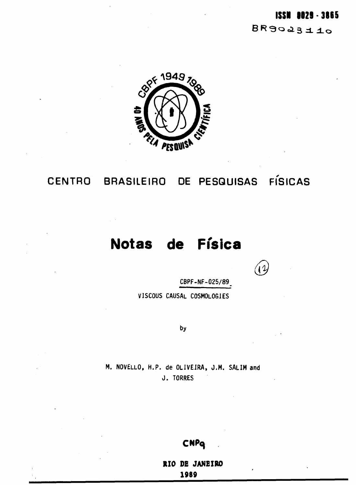## **ISSN 0029-3865**

 $BR9023110$ 



## **CENTRO BRASILEIRO DE PESQUISAS FÍSICAS**

# **Notas de Física**

 $\mathcal{L}$ 

**CBPF-NF-025/89,**

**VISCOUS CAUSAL COSMOLOGIES**

by

**M. NOVELLO, H.P. de OLIVEIRA, J.M. SALIM and J . TORRES**

## CNPQ

**RIO DE JANEIRO 1989**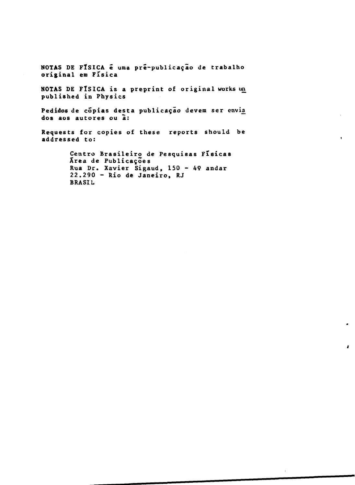NOTAS DE FÍSICA é uma pré-publicação de trabalho **original em Física**

**NOTAS DE FÍSICA is a preprint of original works un published in Physics**

Pedidos de cópias desta publicação devem ser envia **dos aos autores ou à:**

**Requests for copies of these reports should be addressed to:**

> **Centro Brasileiro de Pesquisas Físicas Xrea de Publicações Rua Dr. Xavier Sigaud, 150 - 49 andar 22.290 - Rio de Janeiro, RJ BRASIL**

> > $\bullet$

 $\mathbf{r}$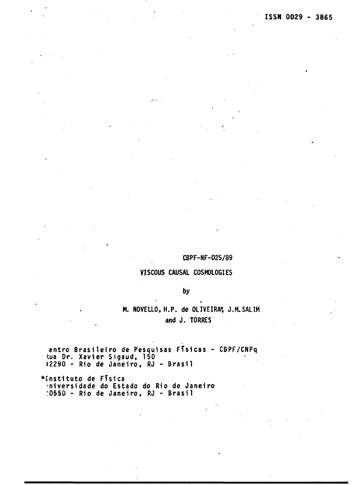## **CBPF-NF-025/89**

## **VISCOUS CAUSAL COSMOLOGIES**

## **by**

## **M. NOVELLO, H.P. de OLIVEIRA\* J.M.SALIM and J. TORRES**

**entro Brasileir o de Pesquisas Física s - CBPF/CNPq tua Dr. Xavie r Sigaud, 150 ?2290 - Rio de Janeiro , RJ - Brasi l**

والمسترق

**•institut o de Físic a diversidade do Estado do Rio de Janeiro :0550 - Rio de Janeiro , RJ \* Brasi l**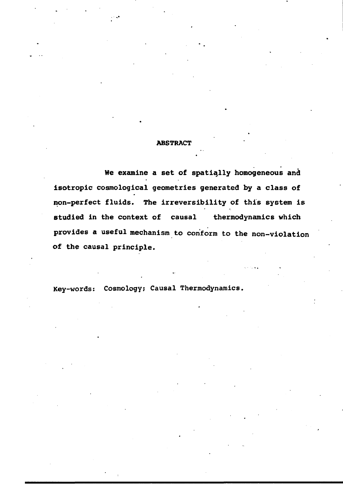#### **ABSTRACT**

**We examine a set of spatially homogeneous and isotropic cosmological geometries generated by a class of non-perfect fluids. The irreversibility of this system is studied in the context of causal thermodynamics which provides a useful mechanism to conform to the non-violation of the causal principle.**

**Key-words: Cosmology; Causal Thermodynamics,**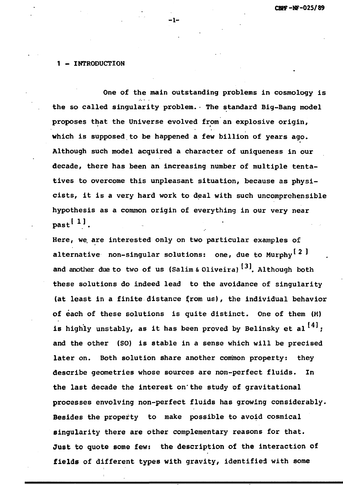#### **1 - INTRODUCTION**

**One of the main outstanding problems in cosmology is the so called singularity problem.• The standard Big-Bang model proposes that the universe evolved from an explosive origin, which is supposed to be happened a few billion of years ago. Although such model acquired a character of uniqueness in our decade, there has been an increasing number of multiple tentatives to overcome this unpleasant situation, because as physicists, it is a very hard work to deal with such uncomprehensible hypothesis as a common origin of everything in our very near past1 1 '.**

**- 1 -**

**Here, we. are interested only on two particular examples of** alternative non-singular solutions: one, due to Murphy<sup>[2]</sup> and another due to two of us (Salim & Oliveira)<sup>[3]</sup>. Although both **these solutions do indeed lead to the avoidance of singularity** (at least in a finite distance from us), the individual behavior **of each of these solutions is quite distinct. One of them (M)** is highly unstably, as it has been proved by Belinsky et al<sup>[4]</sup>; **and the other (SO) is stable in a sense which will be precised later on. Both solution share another common property: they describe geometries whose sources are non-perfect fluids. In the last decade the interest on'the study of gravitational processes envolving non-perfect fluids has growing considerably. Besides the property to make possible to avoid cosmical singularity there are other complementary reasons for that. Just to quote some few: the description of the interaction of fields of different types with gravity, identified with some**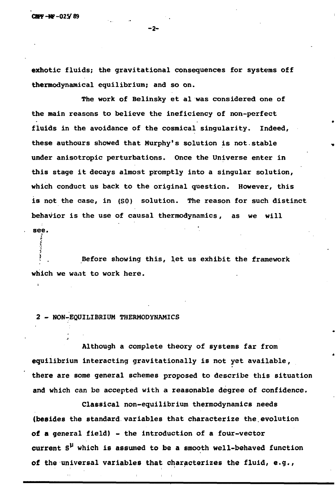e. r A s<sup>t</sup> Í •f

**exhotic fluids; the gravitational consequences for systems off thermodynainical equilibrium; and so on.**

**The work of Belinsky et al was considered one of the main reasons to believe the ineficiency of non-perfect fluids in the avoidance of the cosmical singularity. Indeed, these authours showed that Murphy's solution is not.stable under anisotropic perturbations. Once the Universe enter in this stage it decays almost promptly into a singular solution, which conduct us back to the original question. However, this is not the case, in (SO) solution. The reason for such distinct behavior is the use of causal thermodynamics, as we will see.** 5

Before showing this, let us exhibit the framework r **•• . Before showing this, let us exhibit the framework**

**2 - NON-EQUILIBRIUM THERMODYNAMICS**

**which we want to work here.**

**Although a complete theory of systems far from equilibrium interacting gravitationally is not yet available, there are some general schemes proposed to describe this situation and which can be accepted with a reasonable degree of confidence.**

**Classical non-equilibrium thermodynamics needs (besides the standard variables that characterize the.evolution of a general field) - the introduction of a four-vector current S^ which is assumed to be a smooth well-behaved function of the universal variables that characterizes the fluid, e.g.,**

**-2-**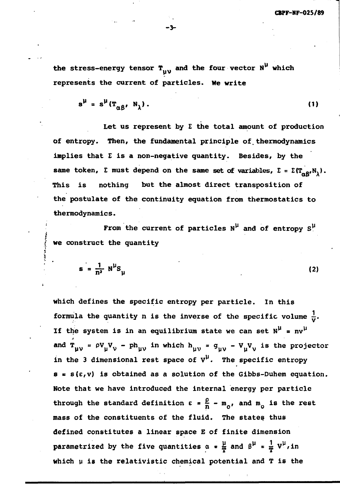the stress-energy tensor  $T_{UV}$  and the four vector  $N^{\mu}$  which **represents the current of particles. We write**

$$
s^{\mu} = s^{\mu} (T_{\alpha\beta}, N_1). \qquad (1)
$$

**Let us represent by E the total amount of production of entropy. Then, the fundamental principle of.thermodynamics implies that E is a non-negative quantity. Besides, by the** same token,  $\Sigma$  must depend on the same set of variables,  $\Sigma = \Sigma(T_{\alpha\alpha},N_1)$ . **Otp A** This is nothing **This is nothing but the almost direct transposition of the postulate of the continuity equation from thermostatics to** thermodynamics. **thermodynamics.**

From the current of particles  $N^{\mu}$  and of entropy  $S^{\mu}$ **I i we construct the quantity**

**í**

$$
s = \frac{1}{n^2} N^{\mu} S_{\mu}
$$
 (2)

**which defines the specific entropy per particle. In this formula the quantity n is the inverse of the specific volume**  $\frac{1}{n}$ **.** If the system is in an equilibrium state we can set  $N^{\mu}$  =  $nv^{\mu}$ .t **and**  $\int \mu v - \mu v \mu' v$  **. Fully the which**  $\int \mu v - \mu v \mu' v$  **is the projector** in the 3 dimensional rest space of  $v^{\mu}$ . The specific entropy  $s = s(\epsilon, v)$  is obtained as a solution of the Gibbs-Duhem equation. **Note that we have introduced the internal energy per particle through the standard definition**  $\epsilon = \frac{1}{n} - m$ **<sub>0</sub>, and**  $m$ **<sub>0</sub> is the re mass of the constituents of the fluid. The states thus defined constitutes a linear space E of finite dimension parametrized by the five quantities**  $\alpha = \frac{\mu}{T}$  **and**  $\beta^{\mu} = \frac{1}{T} V^{\mu}$ **, in which v is the relativistic chemical potential and T is the**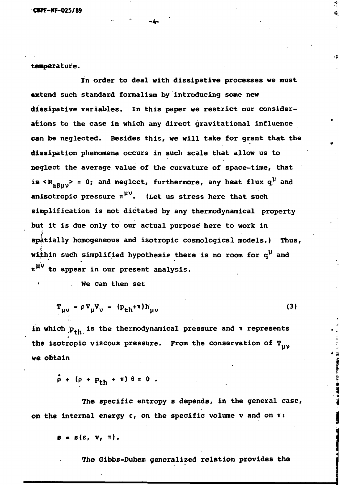**teaperature.**

**In order to deal with dissipative processes we must extend such standard formalism by introducing some new dissipative variables. In this paper we restrict our considerations to the case in which any direct gravitational influence can be neglected. Besides this, we will take for grant that the dissipation phenomena occurs in such scale that allow us to neglect the average value of the curvature of space-time, that** is  ${}<$  **R**<sub> $n$ </sub> $_{\alpha}$ <sub>1</sub>, $>$  = 0; and neglect, furthermore, any heat flux  $q^{\mu}$  and anisotropic pressure  $\pi$ <sup>pv</sup>. (Let us stress here that such **simplification is not dictated by any thermodynamical property but it is due only to our actual purpose here to work in spatially homogeneous and isotropic cosmological models.) Thus, within such simplified hypothesis there is no room for q<sup>v</sup> and w <sup>w</sup> to appear in our present analysis.**

**-4-**

**• He can then set**

$$
\mathbf{T}_{\mu\nu} = \rho \mathbf{V}_{\mu} \mathbf{V}_{\nu} - (\mathbf{p}_{\mathbf{t}h} + \pi) \mathbf{h}_{\mu\nu}
$$
 (3)

in which  $p_{+h}$  is the thermodynamical pressure and  $\pi$  represents **the isotropic viscous pressure. From the conservation of T we obtain**

 $\dot{\rho}$  + ( $\rho$  +  $p_{th}$  +  $\pi$ )  $\theta$  = 0.

**The specific entropy s depends, in the general case,** on the internal energy  $\varepsilon$ , on the specific volume  $v$  and on  $\pi$ :

 $B = B(E, V, T)$ .

**The Gibbs-Duhem generalized relation provides the**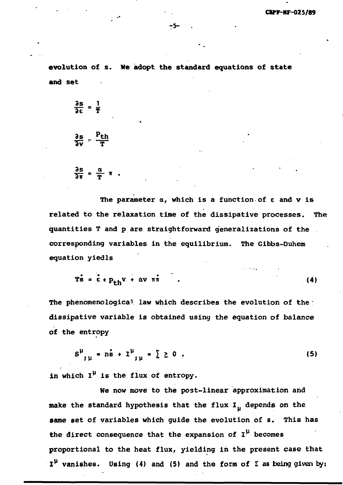**evolution of s. We adopt the standard equations of state and set**

$$
\frac{\partial s}{\partial \epsilon} = \frac{1}{T}
$$
  

$$
\frac{\partial s}{\partial v} = \frac{P_{th}}{T}
$$
  

$$
\frac{\partial s}{\partial \pi} = \frac{\alpha}{T} \pi
$$

**The parameter a, which is a function of e and v is related to the relaxation time of the dissipative processes. The quantities T and p are straightforward generalizations of the corresponding variables in the equilibrium. The Gibbs-Duhem equation yiedls**

$$
\mathbf{T}\dot{\mathbf{s}} = \dot{\mathbf{\epsilon}} + \mathbf{p}_{\mathbf{t}} \mathbf{v} + \dot{\mathbf{\alpha}} \mathbf{v} \quad \mathbf{n}\dot{\mathbf{n}} \tag{4}
$$

**The phenomenological law which describes the evolution of the dissipative variable is obtained using the equation of balance of the entropy**

$$
s^{\mu}_{;\mu} = n\dot{s} + 1^{\mu}_{;\mu} = \sum 2 \ 0 \ . \tag{5}
$$

**in which I<sup>v</sup> is the flux of entropy.**

**We now move to the post-linear approximation and** make the standard hypothesis that the flux I<sub>u</sub> depends on the **same set of variables which guide the evolution of s. This has** the direct consequence that the expansion of  $I^{\mu}$  becomes **proportional to the heat flux, yielding in the present case that l <sup>v</sup> vanishes. Using (4) and (5) and the form of I as being given by:**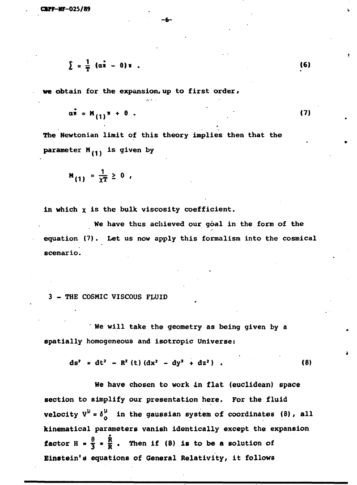$$
\sum_{i=1}^{n} \frac{1}{n} (\alpha \dot{x} - \theta) x
$$

**«re obtain for the expansion,up to first order,**

$$
\alpha \bar{n} = M_{(1)} \bar{n} + \theta \tag{7}
$$

**(6)**

**The Newtonian limit of this theory implies then that the parameter M( 1 <sup>J</sup> is given by**

 $-**or**$ 

$$
M_{(1)} = \frac{1}{\chi T} \geq 0,
$$

**in which x<sup>i</sup> <sup>s</sup> ^ e bulk viscosity coefficient.**

We have thus achieved our goal in the form of the **equation (7). Let us now apply this formalism into the cosmical scenario.**

#### **3 - THE COSMIC VISCOUS FLUID**

**' We will take the geometry as being given by a spatially homogeneous and isotropic Universe:**

$$
ds^{2} = dt^{2} - R^{2} (t) (dx^{2} - dy^{2} + dz^{2}) . \qquad (8)
$$

**We have chosen to work in flat (euclidean) space section to simplify our presentation here. For the fluid velocity**  $V^{\mu} = \delta^{\mu}$  in the gaussian system of coordinates (8), all **kinematical parameters vanish identically except the expansion 6 R factor** H =  $\frac{9}{3}$  =  $\frac{R}{R}$ . Then if (8) is to be a solution **Einstein's equations of General Relativity, it follows**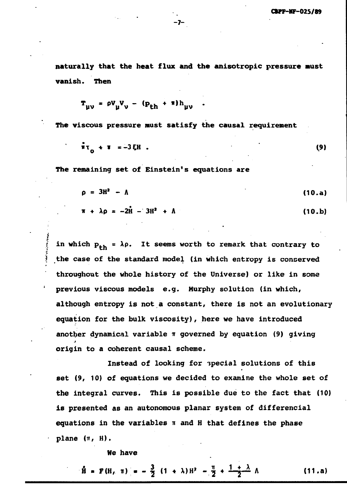**naturally that the heat flux and the anisotropic pressure mist vanish. Then**

**- 7 -**

$$
\mathbf{T}_{\mu\nu} = \rho \mathbf{V}_{\mu} \mathbf{V}_{\nu} - (\mathbf{p}_{\mathrm{th}} + \pi) \mathbf{h}_{\mu\nu} .
$$

**The viscous pressure must satisfy the causal requirement**

$$
\pi_{0} + \pi = -3 \xi H \tag{9}
$$

**The remaining set of Einstein<sup>1</sup>s equations are**

$$
\rho = 3H^2 - \Lambda \tag{10.a}
$$

$$
\pi + \lambda \rho = -2\dot{H} - 3H^2 + \Lambda \qquad (10.b)
$$

**I** in which  $p_{th} = \lambda \rho$ . It seems worth to remark that contrary to the case of the standard model (in which entropy is conserved throughout the whole history of the Universe) or like in some **throughout the whole history of the Universe) or like in some although entropy is not a constant, there is not an evolutionary** another dynamical variable **m** governed by equation (9) giving **another dynamical variable IT governed by equation (9) giving** origin to a coherent causal scheme.

Instead of looking for special solutions of this set (9, 10) of equations we decided to examine the whole set of the integral curves. This is possible due to the fact that (10) is presented as an autonomous planar system of differencial equations in the variables  $\pi$  and H that defines the phase **equations in the variables n and H that defines the phase**

> **We have We have**

 $H = P(H, \pi) = -\frac{3}{2}(1 + \lambda)H^2 - \frac{\pi}{2} + \frac{1 + \lambda}{2} \Lambda$  (11.a)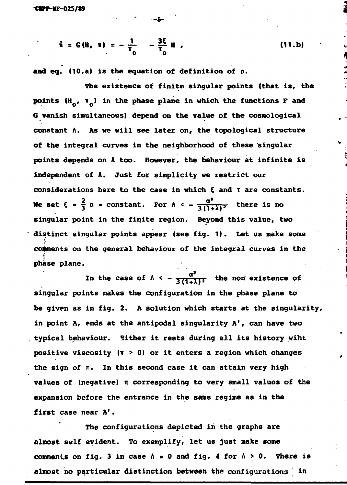$$
\hat{\mathbf{i}} = G(H, \mathbf{1}) = -\frac{1}{\tau_0} - \frac{3\xi}{\tau_0} H,
$$
 (11.b)

**and** eq. (10.a) is the equation of definition of p.

**-8-**

The existence of finite singular points (that is, the points  $(H_0, H_0)$  in the phase plane in which the functions F and 6 vanish simultaneous) depend on the value of the cosmological constant A. As we will see later on, the topological structure of the integral curves in the neighborhood of these singular points depends on A too. However, the behaviour at infinite is independent of A. Just for simplicity we restrict our considerations here to the case in which  $\xi$  and  $\tau$  are constants. We set  $\xi = \frac{2}{3} \alpha = \text{constant}$ . For  $\Lambda < -\frac{\alpha^2}{3(1+\lambda)^2}$  there is no singular point in the finite region. Beyond this value, two distinct singular points appear (see fig. 1). Let us make some comments on the general behaviour of the integral curves in the  $\frac{1}{2}$ comments on the general behaviour of the integral curves in the integral curves in the integral curves in the integral curves in the integral curves in the integral curves in the integral curves in the integral c phase plane.

phase plane. In the case of  $A \times \frac{1}{3(1+\lambda)^2}$  the non existence  $\lambda$ singular points makes the configuration in the phase plane to be given as in fig. 2. A solution which starts at the singularity, in point À, ends at the antipodal singularity A', can have two typical behaviour. Cither it rests during all its history wiht positive viscosity  $(T > 0)$  or it enters a region which changes the sign of n. In this second case it can attain very high values of (negative) n corresponding to very small values of the expansion before the entrance in the same regime as in the first case near A'.

The configurations depicted in the graphs are almost self evident. To exemplify, let us just make some comments on fig. 3 in case  $\Lambda = 0$  and fig. 4 for  $\Lambda > 0$ . There is almost no particular distinction between the configurations in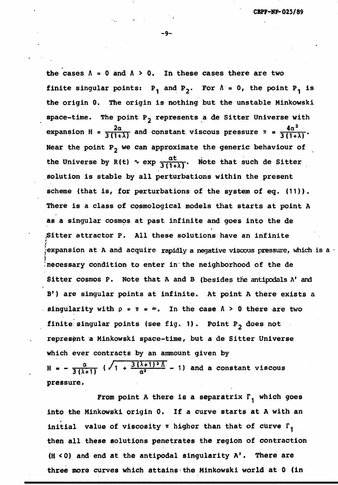the cases  $\Lambda = 0$  and  $\Lambda > 0$ . In these cases there are two **finite singular points:**  $P_1$  and  $P_2$ . For  $\Lambda = 0$ , the point  $P_1$  is **the origin 0. The origin is nothing but the unstable Minkowski** space-time. The point P<sub>2</sub> represents a de Sitter Universe with expansion H =  $\frac{2\alpha}{3(1+\lambda)}$  and constant viscous pressure  $\pi = \frac{4\alpha^2}{3(1+\lambda)}$ . **Near the point P2 we can approximate the generic behaviour of** the Universe by R(t)  $\sim$  exp  $\frac{\alpha t}{3(1+\lambda)}$ . Note that such de Sitter **solution is stable by all perturbations within the present scheme (that is, for perturbations of the system of eg. (11)). There is a class of cosmological models that starts at point A as a singular cosmos at past infinite and goes into the de Sitter attractor P. All these solutions have an infinite** r  $\hat{z}$ expansion at A and acquire rapidly a negative viscous pressure, which is a  $\cdot$ necessary condition to enter in the neighborhood of the de **• necessary condition to enter in the neighborhood of the de Sitter cosmos P. Note that A and B (besides the antipodals A<sup>1</sup> and <sup>1</sup>) are singular points at infinite. At point A there exists a singularity with p = u = <». In the case A > 0 there are two** finite singular points (see fig. 1). Point P<sub>2</sub> does not **represent a Minkowski space-time, but a de Sitter Universe**  $\frac{1}{2}$  **which ever contracts by an ammount given by** 

 $H = -\frac{\alpha}{3(\lambda+1)}$  ( $\sqrt{1} + \frac{3(\lambda+1)^2\Lambda}{\alpha^2} - 1$ ) and a constant viscous **3 (A + l I** 

**pressure. From point A there is a separatrix**  $\Gamma_1$  **which goes**<br>into the Minkowski origin 0. If a curve starts at A with an **initial** value of viscosity  $\pi$  higher than that of curve  $\Gamma_1$ then all these solutions penetrates the region of contraction  $(H < 0)$  and end at the antipodal singularity  $A'$ . There are three more curves which attains the Minkowski world at 0 (in **three more curves which attains the Minkowski world at 0 (in**

**-9-**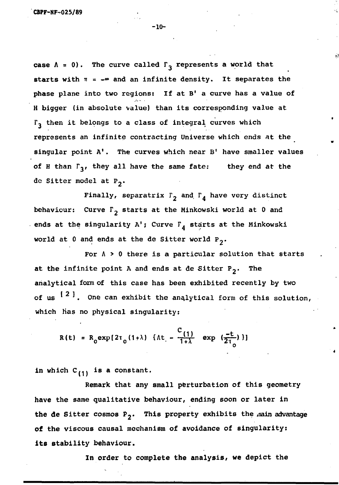case  $\Lambda = 0$ ). The curve called  $\Gamma_3$  represents a world that starts with  $\pi = -\infty$  and an infinite density. It separates the phase plane into two regions: If at B' a curve has a value of H bigger (in absolute value) than its corresponding value at  $\Gamma_3$  then it belongs to a class of integral curves which represents an infinite contracting Universe which ends at the singular point A'. The curves which near B' have smaller values of H than  $\Gamma_3$ , they all have the same fate: they end at the de Sitter model at  $P_2$ .

Finally, separatrix  $\Gamma_2$  and  $\Gamma_4$  have very distinct behaviour: Curve  $\Gamma_2$  starts at the Minkowski world at 0 and ends at the singularity A'; Curve  $\Gamma_{\tilde{A}}$  starts at the Minkowski world at 0 and ends at the de Sitter world  $P_2$ .

For  $\Lambda > 0$  there is a particular solution that starts at the infinite point A and ends at de Sitter  $P_2$ . The analytical form of this case has been exhibited recently by two of us  $\begin{bmatrix} 2 & 1 \end{bmatrix}$ . One can exhibit the analytical form of this solution, which has no physical singularity:

$$
R(t) = R_0 \exp[2\tau_0 (1+\lambda) \{ \Lambda t \} - \frac{C_{(1)}}{1+\lambda} \exp(\frac{-t}{2\tau_0}) \}]
$$

in which  $C_{(1)}$  is a constant.

Remark that any small perturbation of this geometry have the same qualitative behaviour, ending soon or later in the de Sitter cosmos  $P_2$ . This property exhibits the main advantage of the viscous causal mechanism of avoidance of singularity: **its** stability behaviour.

In order to complete the analysis, we depict the

-10-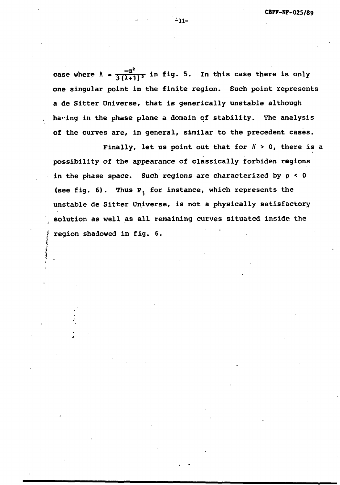case where  $\Lambda = \frac{-\alpha^2}{3(\lambda+1)^2}$  in fig. 5. In this case there is only **one singular point in the finite region. Such point represents a de Sitter Universe, that is generically unstable although having in the phase plane a domain of stability. The analysis** of the curves are, in general, similar to the precedent cases.

Finally, let us point out that for  $\Lambda > 0$ , there is a **possibility of the appearance of classically forbiden regions in the phase space. Such regions are characterized by p < 0** (see fig. 6). Thus P<sub>1</sub> for instance, which represents the **unstable de Sitter universe, is not a physically satisfactory solution as well as all remaining curves situated inside the | region shadowed in fig. 6.**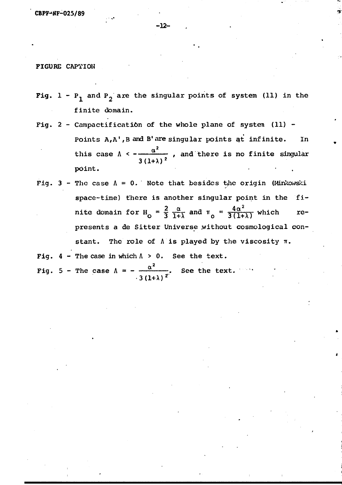**-12-**

#### FIGURE CAPTION

- Fig.  $1 P_1$  and  $P_2$  are the singular points of system (11) in the finite domain.
- Fig.  $2$  Campactification of the whole plane of system (11) -Points  $A_iA'$ , B and B' are singular points at infinite. In  $\alpha^2$ this case  $\Lambda$  <  $\rightarrow$   $\rightarrow$  , and there is no finite singular point.
- Fig. 3 The case  $\Lambda = 0$ . Note that besides the origin (Minkowski space-time) there is another singular point in the finite domain for H<sub>0</sub> =  $\frac{2}{3} \frac{\alpha}{1+\lambda}$  and  $\pi_0 = \frac{4\alpha^2}{3(1+\lambda)}$  which represents a de Sitter Universe without cosmological constant. The role of  $\Lambda$  is played by the viscosity  $\pi$ .

Fig.  $4$  - The case in which  $\Lambda > 0$ . See the text.

2 Fig.  $5$  - The case  $A = -$  . See the text.  $-3(1+A)^{-2}$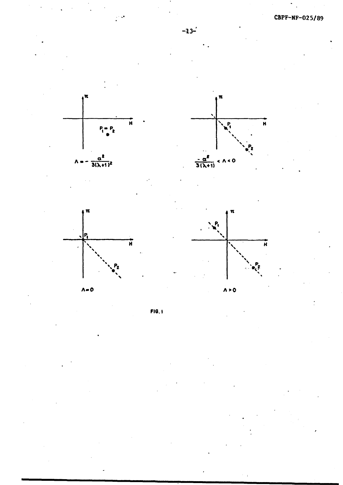







**-13-**





**FI6.I**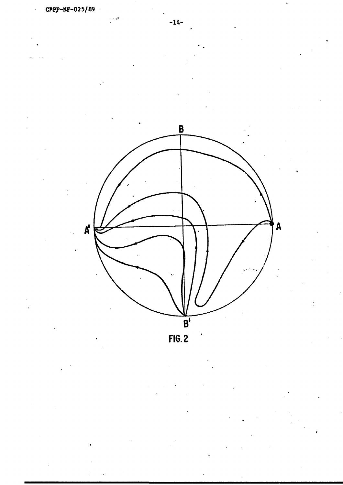





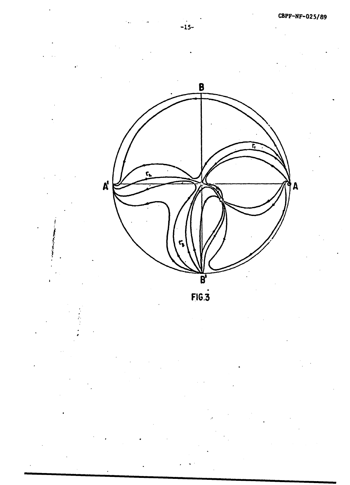**-15 -**

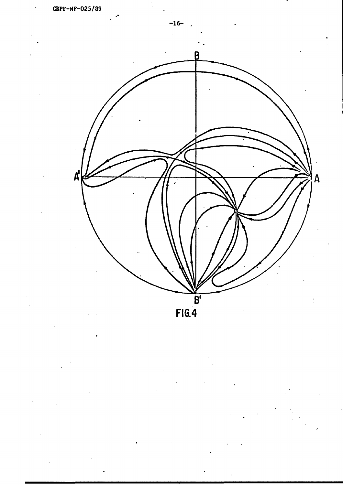



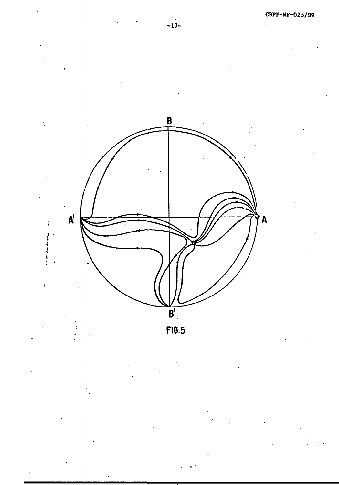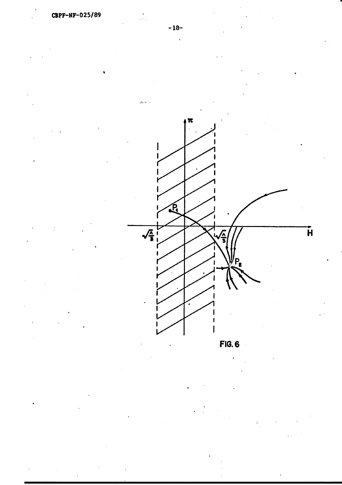

**FI6.6**